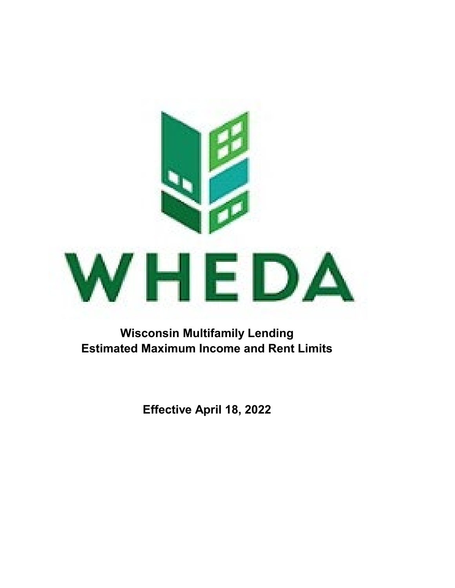

**Wisconsin Multifamily Lending Estimated Maximum Income and Rent Limits**

**Effective April 18, 2022**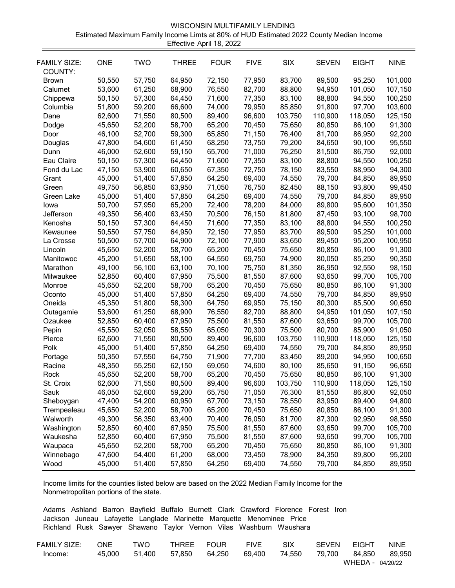| WISCONSIN MULTIFAMILY LENDING                                                           |
|-----------------------------------------------------------------------------------------|
| Estimated Maximum Family Income Limts at 80% of HUD Estimated 2022 County Median Income |
| Effective April 18, 2022                                                                |

| <b>FAMILY SIZE:</b><br>COUNTY: | <b>ONE</b> | <b>TWO</b> | <b>THREE</b> | <b>FOUR</b> | <b>FIVE</b> | <b>SIX</b> | <b>SEVEN</b> | <b>EIGHT</b> | <b>NINE</b> |
|--------------------------------|------------|------------|--------------|-------------|-------------|------------|--------------|--------------|-------------|
| <b>Brown</b>                   | 50,550     | 57,750     | 64,950       | 72,150      | 77,950      | 83,700     | 89,500       | 95,250       | 101,000     |
| Calumet                        | 53,600     | 61,250     | 68,900       | 76,550      | 82,700      | 88,800     | 94,950       | 101,050      | 107,150     |
| Chippewa                       | 50,150     | 57,300     | 64,450       | 71,600      | 77,350      | 83,100     | 88,800       | 94,550       | 100,250     |
| Columbia                       | 51,800     | 59,200     | 66,600       | 74,000      | 79,950      | 85,850     | 91,800       | 97,700       | 103,600     |
| Dane                           | 62,600     | 71,550     | 80,500       | 89,400      | 96,600      | 103,750    | 110,900      | 118,050      | 125,150     |
| Dodge                          | 45,650     | 52,200     | 58,700       | 65,200      | 70,450      | 75,650     | 80,850       | 86,100       | 91,300      |
| Door                           | 46,100     | 52,700     | 59,300       | 65,850      | 71,150      | 76,400     | 81,700       | 86,950       | 92,200      |
| Douglas                        | 47,800     | 54,600     | 61,450       | 68,250      | 73,750      | 79,200     | 84,650       | 90,100       | 95,550      |
| Dunn                           | 46,000     | 52,600     | 59,150       | 65,700      | 71,000      | 76,250     | 81,500       | 86,750       | 92,000      |
| Eau Claire                     | 50,150     | 57,300     | 64,450       | 71,600      | 77,350      | 83,100     | 88,800       | 94,550       | 100,250     |
| Fond du Lac                    | 47,150     | 53,900     | 60,650       | 67,350      | 72,750      | 78,150     | 83,550       | 88,950       | 94,300      |
| Grant                          | 45,000     | 51,400     | 57,850       | 64,250      | 69,400      | 74,550     | 79,700       | 84,850       | 89,950      |
| Green                          | 49,750     | 56,850     | 63,950       | 71,050      | 76,750      | 82,450     | 88,150       | 93,800       | 99,450      |
| Green Lake                     | 45,000     | 51,400     | 57,850       | 64,250      | 69,400      | 74,550     | 79,700       | 84,850       | 89,950      |
| lowa                           | 50,700     | 57,950     | 65,200       | 72,400      | 78,200      | 84,000     | 89,800       | 95,600       | 101,350     |
| Jefferson                      | 49,350     | 56,400     | 63,450       | 70,500      | 76,150      | 81,800     | 87,450       | 93,100       | 98,700      |
| Kenosha                        | 50,150     | 57,300     | 64,450       | 71,600      | 77,350      | 83,100     | 88,800       | 94,550       | 100,250     |
| Kewaunee                       | 50,550     | 57,750     | 64,950       | 72,150      | 77,950      | 83,700     | 89,500       | 95,250       | 101,000     |
| La Crosse                      | 50,500     | 57,700     | 64,900       | 72,100      | 77,900      | 83,650     | 89,450       | 95,200       | 100,950     |
| Lincoln                        | 45,650     | 52,200     | 58,700       | 65,200      | 70,450      | 75,650     | 80,850       | 86,100       | 91,300      |
| Manitowoc                      | 45,200     | 51,650     | 58,100       | 64,550      | 69,750      | 74,900     | 80,050       | 85,250       | 90,350      |
| Marathon                       | 49,100     | 56,100     | 63,100       | 70,100      | 75,750      | 81,350     | 86,950       | 92,550       | 98,150      |
| Milwaukee                      | 52,850     | 60,400     | 67,950       | 75,500      | 81,550      | 87,600     | 93,650       | 99,700       | 105,700     |
| Monroe                         | 45,650     | 52,200     | 58,700       | 65,200      | 70,450      | 75,650     | 80,850       | 86,100       | 91,300      |
| Oconto                         | 45,000     | 51,400     | 57,850       | 64,250      | 69,400      | 74,550     | 79,700       | 84,850       | 89,950      |
| Oneida                         | 45,350     | 51,800     | 58,300       | 64,750      | 69,950      | 75,150     | 80,300       | 85,500       | 90,650      |
| Outagamie                      | 53,600     | 61,250     | 68,900       | 76,550      | 82,700      | 88,800     | 94,950       | 101,050      | 107,150     |
| Ozaukee                        | 52,850     | 60,400     | 67,950       | 75,500      | 81,550      | 87,600     | 93,650       | 99,700       | 105,700     |
| Pepin                          | 45,550     | 52,050     | 58,550       | 65,050      | 70,300      | 75,500     | 80,700       | 85,900       | 91,050      |
| Pierce                         | 62,600     | 71,550     | 80,500       | 89,400      | 96,600      | 103,750    | 110,900      | 118,050      | 125,150     |
| Polk                           | 45,000     | 51,400     | 57,850       | 64,250      | 69,400      | 74,550     | 79,700       | 84,850       | 89,950      |
| Portage                        | 50,350     | 57,550     | 64,750       | 71,900      | 77,700      | 83,450     | 89,200       | 94,950       | 100,650     |
| Racine                         | 48,350     | 55,250     | 62,150       | 69,050      | 74,600      | 80,100     | 85,650       | 91,150       | 96,650      |
| Rock                           | 45,650     | 52,200     | 58,700       | 65,200      | 70,450      | 75,650     | 80,850       | 86,100       | 91,300      |
| St. Croix                      | 62,600     | 71,550     | 80,500       | 89,400      | 96,600      | 103,750    | 110,900      | 118,050      | 125,150     |
| Sauk                           | 46,050     | 52,600     | 59,200       | 65,750      | 71,050      | 76,300     | 81,550       | 86,800       | 92,050      |
| Sheboygan                      | 47,400     | 54,200     | 60,950       | 67,700      | 73,150      | 78,550     | 83,950       | 89,400       | 94,800      |
| Trempealeau                    | 45,650     | 52,200     | 58,700       | 65,200      | 70,450      | 75,650     | 80,850       | 86,100       | 91,300      |
| Walworth                       | 49,300     | 56,350     | 63,400       | 70,400      | 76,050      | 81,700     | 87,300       | 92,950       | 98,550      |
| Washington                     | 52,850     | 60,400     | 67,950       | 75,500      | 81,550      | 87,600     | 93,650       | 99,700       | 105,700     |
| Waukesha                       | 52,850     | 60,400     | 67,950       | 75,500      | 81,550      | 87,600     | 93,650       | 99,700       | 105,700     |
| Waupaca                        | 45,650     | 52,200     | 58,700       | 65,200      | 70,450      | 75,650     | 80,850       | 86,100       | 91,300      |
| Winnebago                      | 47,600     | 54,400     | 61,200       | 68,000      | 73,450      | 78,900     | 84,350       | 89,800       | 95,200      |
| Wood                           | 45,000     | 51,400     | 57,850       | 64,250      | 69,400      | 74,550     | 79,700       | 84,850       | 89,950      |

Income limits for the counties listed below are based on the 2022 Median Family Income for the Nonmetropolitan portions of the state.

Adams Ashland Barron Bayfield Buffalo Burnett Clark Crawford Florence Forest Iron Jackson Juneau Lafayette Langlade Marinette Marquette Menominee Price Richland Rusk Sawyer Shawano Taylor Vernon Vilas Washburn Waushara

| FAMILY SIZE: | ONE.   | TWO    | THREE FOUR |        | <b>FIVE</b> | <b>SIX</b> | <b>SFVFN</b> | FIGHT            | <b>NINE</b> |
|--------------|--------|--------|------------|--------|-------------|------------|--------------|------------------|-------------|
| Income:      | 45.000 | 51.400 | 57.850     | 64.250 | 69.400      | 74.550     | 79.700       | 84.850           | 89.950      |
|              |        |        |            |        |             |            |              | WHEDA - 04/20/22 |             |